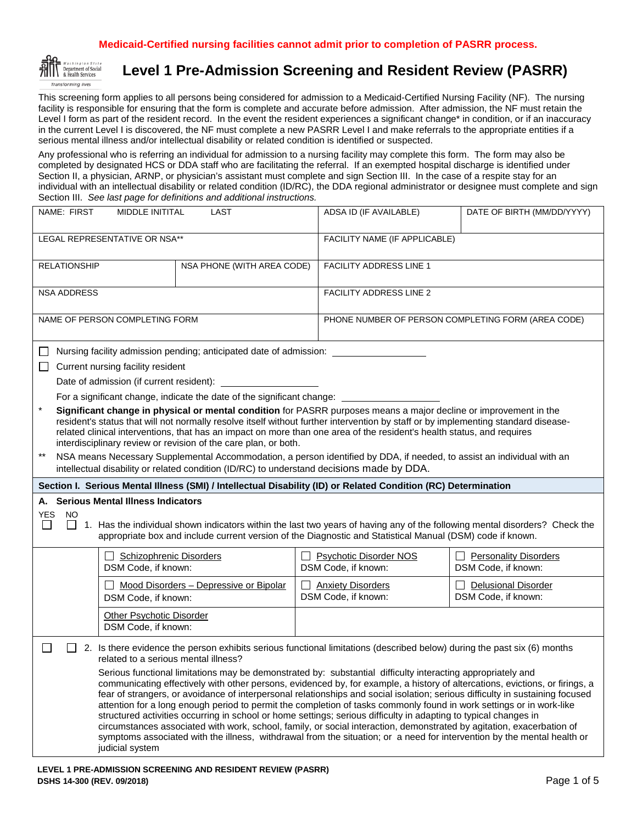# **Medicaid-Certified nursing facilities cannot admit prior to completion of PASRR process.**



# **Level 1 Pre-Admission Screening and Resident Review (PASRR)**

This screening form applies to all persons being considered for admission to a Medicaid-Certified Nursing Facility (NF). The nursing facility is responsible for ensuring that the form is complete and accurate before admission. After admission, the NF must retain the Level I form as part of the resident record. In the event the resident experiences a significant change\* in condition, or if an inaccuracy in the current Level I is discovered, the NF must complete a new PASRR Level I and make referrals to the appropriate entities if a serious mental illness and/or intellectual disability or related condition is identified or suspected.

Any professional who is referring an individual for admission to a nursing facility may complete this form. The form may also be completed by designated HCS or DDA staff who are facilitating the referral. If an exempted hospital discharge is identified under Section II, a physician, ARNP, or physician's assistant must complete and sign Section III. In the case of a respite stay for an individual with an intellectual disability or related condition (ID/RC), the DDA regional administrator or designee must complete and sign Section III. *See last page for definitions and additional instructions.*

| NAME: FIRST<br><b>MIDDLE INITITAL</b><br>LAST                                                                                                                                                                                                                                                                                                                                                                                                                                                                                                                                                                                                                                                                                                                                                                                                                                                                                                                                                                                                                                                                                                                                                                                                                                                                                                                                                              |                                                                                                                                                                                                                                                                                                                                                                                                                                                                                                                                                                                                                                                                                                                                                                                                                                                                                                 | ADSA ID (IF AVAILABLE)                 | DATE OF BIRTH (MM/DD/YYYY)                           |                                                     |  |  |
|------------------------------------------------------------------------------------------------------------------------------------------------------------------------------------------------------------------------------------------------------------------------------------------------------------------------------------------------------------------------------------------------------------------------------------------------------------------------------------------------------------------------------------------------------------------------------------------------------------------------------------------------------------------------------------------------------------------------------------------------------------------------------------------------------------------------------------------------------------------------------------------------------------------------------------------------------------------------------------------------------------------------------------------------------------------------------------------------------------------------------------------------------------------------------------------------------------------------------------------------------------------------------------------------------------------------------------------------------------------------------------------------------------|-------------------------------------------------------------------------------------------------------------------------------------------------------------------------------------------------------------------------------------------------------------------------------------------------------------------------------------------------------------------------------------------------------------------------------------------------------------------------------------------------------------------------------------------------------------------------------------------------------------------------------------------------------------------------------------------------------------------------------------------------------------------------------------------------------------------------------------------------------------------------------------------------|----------------------------------------|------------------------------------------------------|-----------------------------------------------------|--|--|
| LEGAL REPRESENTATIVE OR NSA**                                                                                                                                                                                                                                                                                                                                                                                                                                                                                                                                                                                                                                                                                                                                                                                                                                                                                                                                                                                                                                                                                                                                                                                                                                                                                                                                                                              |                                                                                                                                                                                                                                                                                                                                                                                                                                                                                                                                                                                                                                                                                                                                                                                                                                                                                                 |                                        |                                                      | FACILITY NAME (IF APPLICABLE)                       |  |  |
| <b>RELATIONSHIP</b>                                                                                                                                                                                                                                                                                                                                                                                                                                                                                                                                                                                                                                                                                                                                                                                                                                                                                                                                                                                                                                                                                                                                                                                                                                                                                                                                                                                        |                                                                                                                                                                                                                                                                                                                                                                                                                                                                                                                                                                                                                                                                                                                                                                                                                                                                                                 | NSA PHONE (WITH AREA CODE)             | <b>FACILITY ADDRESS LINE 1</b>                       |                                                     |  |  |
| <b>NSA ADDRESS</b>                                                                                                                                                                                                                                                                                                                                                                                                                                                                                                                                                                                                                                                                                                                                                                                                                                                                                                                                                                                                                                                                                                                                                                                                                                                                                                                                                                                         |                                                                                                                                                                                                                                                                                                                                                                                                                                                                                                                                                                                                                                                                                                                                                                                                                                                                                                 |                                        | <b>FACILITY ADDRESS LINE 2</b>                       |                                                     |  |  |
| NAME OF PERSON COMPLETING FORM                                                                                                                                                                                                                                                                                                                                                                                                                                                                                                                                                                                                                                                                                                                                                                                                                                                                                                                                                                                                                                                                                                                                                                                                                                                                                                                                                                             |                                                                                                                                                                                                                                                                                                                                                                                                                                                                                                                                                                                                                                                                                                                                                                                                                                                                                                 |                                        |                                                      | PHONE NUMBER OF PERSON COMPLETING FORM (AREA CODE)  |  |  |
| Nursing facility admission pending; anticipated date of admission:<br>$\mathbf{L}$<br>Current nursing facility resident<br>$\Box$<br>Date of admission (if current resident): _________<br>For a significant change, indicate the date of the significant change: _<br>$\star$<br>Significant change in physical or mental condition for PASRR purposes means a major decline or improvement in the<br>resident's status that will not normally resolve itself without further intervention by staff or by implementing standard disease-<br>related clinical interventions, that has an impact on more than one area of the resident's health status, and requires<br>interdisciplinary review or revision of the care plan, or both.<br>$***$<br>NSA means Necessary Supplemental Accommodation, a person identified by DDA, if needed, to assist an individual with an<br>intellectual disability or related condition (ID/RC) to understand decisions made by DDA.<br>Section I. Serious Mental Illness (SMI) / Intellectual Disability (ID) or Related Condition (RC) Determination<br>A. Serious Mental Illness Indicators<br>YES<br>NO<br>1. Has the individual shown indicators within the last two years of having any of the following mental disorders? Check the<br>ΙI<br>$\perp$<br>appropriate box and include current version of the Diagnostic and Statistical Manual (DSM) code if known. |                                                                                                                                                                                                                                                                                                                                                                                                                                                                                                                                                                                                                                                                                                                                                                                                                                                                                                 |                                        |                                                      |                                                     |  |  |
|                                                                                                                                                                                                                                                                                                                                                                                                                                                                                                                                                                                                                                                                                                                                                                                                                                                                                                                                                                                                                                                                                                                                                                                                                                                                                                                                                                                                            | <b>Schizophrenic Disorders</b><br>DSM Code, if known:                                                                                                                                                                                                                                                                                                                                                                                                                                                                                                                                                                                                                                                                                                                                                                                                                                           |                                        | <b>Psychotic Disorder NOS</b><br>DSM Code, if known: | <b>Personality Disorders</b><br>DSM Code, if known: |  |  |
|                                                                                                                                                                                                                                                                                                                                                                                                                                                                                                                                                                                                                                                                                                                                                                                                                                                                                                                                                                                                                                                                                                                                                                                                                                                                                                                                                                                                            | DSM Code, if known:                                                                                                                                                                                                                                                                                                                                                                                                                                                                                                                                                                                                                                                                                                                                                                                                                                                                             | Mood Disorders - Depressive or Bipolar | <b>Anxiety Disorders</b><br>DSM Code, if known:      | <b>Delusional Disorder</b><br>DSM Code, if known:   |  |  |
|                                                                                                                                                                                                                                                                                                                                                                                                                                                                                                                                                                                                                                                                                                                                                                                                                                                                                                                                                                                                                                                                                                                                                                                                                                                                                                                                                                                                            | <b>Other Psychotic Disorder</b><br>DSM Code, if known:                                                                                                                                                                                                                                                                                                                                                                                                                                                                                                                                                                                                                                                                                                                                                                                                                                          |                                        |                                                      |                                                     |  |  |
| ΙI                                                                                                                                                                                                                                                                                                                                                                                                                                                                                                                                                                                                                                                                                                                                                                                                                                                                                                                                                                                                                                                                                                                                                                                                                                                                                                                                                                                                         | 2. Is there evidence the person exhibits serious functional limitations (described below) during the past six (6) months<br>related to a serious mental illness?                                                                                                                                                                                                                                                                                                                                                                                                                                                                                                                                                                                                                                                                                                                                |                                        |                                                      |                                                     |  |  |
|                                                                                                                                                                                                                                                                                                                                                                                                                                                                                                                                                                                                                                                                                                                                                                                                                                                                                                                                                                                                                                                                                                                                                                                                                                                                                                                                                                                                            | Serious functional limitations may be demonstrated by: substantial difficulty interacting appropriately and<br>communicating effectively with other persons, evidenced by, for example, a history of altercations, evictions, or firings, a<br>fear of strangers, or avoidance of interpersonal relationships and social isolation; serious difficulty in sustaining focused<br>attention for a long enough period to permit the completion of tasks commonly found in work settings or in work-like<br>structured activities occurring in school or home settings; serious difficulty in adapting to typical changes in<br>circumstances associated with work, school, family, or social interaction, demonstrated by agitation, exacerbation of<br>symptoms associated with the illness, withdrawal from the situation; or a need for intervention by the mental health or<br>judicial system |                                        |                                                      |                                                     |  |  |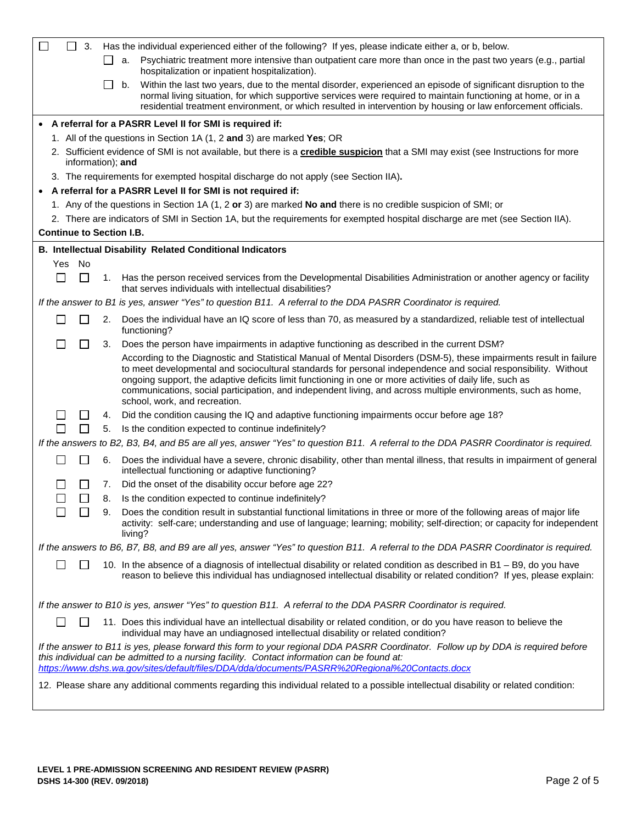| 3.<br>Has the individual experienced either of the following? If yes, please indicate either a, or b, below.                                                                                                                                                                                                                                                                                                                                                                                         |  |  |  |  |  |
|------------------------------------------------------------------------------------------------------------------------------------------------------------------------------------------------------------------------------------------------------------------------------------------------------------------------------------------------------------------------------------------------------------------------------------------------------------------------------------------------------|--|--|--|--|--|
| Psychiatric treatment more intensive than outpatient care more than once in the past two years (e.g., partial<br>а.<br>hospitalization or inpatient hospitalization).                                                                                                                                                                                                                                                                                                                                |  |  |  |  |  |
| Within the last two years, due to the mental disorder, experienced an episode of significant disruption to the<br>b.<br>normal living situation, for which supportive services were required to maintain functioning at home, or in a<br>residential treatment environment, or which resulted in intervention by housing or law enforcement officials.                                                                                                                                               |  |  |  |  |  |
| A referral for a PASRR Level II for SMI is required if:                                                                                                                                                                                                                                                                                                                                                                                                                                              |  |  |  |  |  |
| 1. All of the questions in Section 1A (1, 2 and 3) are marked Yes; OR                                                                                                                                                                                                                                                                                                                                                                                                                                |  |  |  |  |  |
| 2. Sufficient evidence of SMI is not available, but there is a <b>credible suspicion</b> that a SMI may exist (see Instructions for more<br>information); and                                                                                                                                                                                                                                                                                                                                        |  |  |  |  |  |
| 3. The requirements for exempted hospital discharge do not apply (see Section IIA).                                                                                                                                                                                                                                                                                                                                                                                                                  |  |  |  |  |  |
| A referral for a PASRR Level II for SMI is not required if:                                                                                                                                                                                                                                                                                                                                                                                                                                          |  |  |  |  |  |
| 1. Any of the questions in Section 1A (1, 2 or 3) are marked No and there is no credible suspicion of SMI; or                                                                                                                                                                                                                                                                                                                                                                                        |  |  |  |  |  |
| 2. There are indicators of SMI in Section 1A, but the requirements for exempted hospital discharge are met (see Section IIA).                                                                                                                                                                                                                                                                                                                                                                        |  |  |  |  |  |
| <b>Continue to Section I.B.</b>                                                                                                                                                                                                                                                                                                                                                                                                                                                                      |  |  |  |  |  |
| <b>B. Intellectual Disability Related Conditional Indicators</b>                                                                                                                                                                                                                                                                                                                                                                                                                                     |  |  |  |  |  |
| Yes No                                                                                                                                                                                                                                                                                                                                                                                                                                                                                               |  |  |  |  |  |
| $\mathcal{L}_{\mathcal{A}}$<br>$\sim$<br>1. Has the person received services from the Developmental Disabilities Administration or another agency or facility<br>that serves individuals with intellectual disabilities?                                                                                                                                                                                                                                                                             |  |  |  |  |  |
| If the answer to B1 is yes, answer "Yes" to question B11. A referral to the DDA PASRR Coordinator is required.                                                                                                                                                                                                                                                                                                                                                                                       |  |  |  |  |  |
| Does the individual have an IQ score of less than 70, as measured by a standardized, reliable test of intellectual<br>$\mathbf{I}$<br>2.<br>functioning?                                                                                                                                                                                                                                                                                                                                             |  |  |  |  |  |
| Does the person have impairments in adaptive functioning as described in the current DSM?<br>3.                                                                                                                                                                                                                                                                                                                                                                                                      |  |  |  |  |  |
| According to the Diagnostic and Statistical Manual of Mental Disorders (DSM-5), these impairments result in failure<br>to meet developmental and sociocultural standards for personal independence and social responsibility. Without<br>ongoing support, the adaptive deficits limit functioning in one or more activities of daily life, such as<br>communications, social participation, and independent living, and across multiple environments, such as home,<br>school, work, and recreation. |  |  |  |  |  |
| Did the condition causing the IQ and adaptive functioning impairments occur before age 18?<br>ΙI<br>4.                                                                                                                                                                                                                                                                                                                                                                                               |  |  |  |  |  |
| $\mathsf{L}$<br>Is the condition expected to continue indefinitely?<br>5.                                                                                                                                                                                                                                                                                                                                                                                                                            |  |  |  |  |  |
| If the answers to B2, B3, B4, and B5 are all yes, answer "Yes" to question B11. A referral to the DDA PASRR Coordinator is required.                                                                                                                                                                                                                                                                                                                                                                 |  |  |  |  |  |
| Does the individual have a severe, chronic disability, other than mental illness, that results in impairment of general<br>6.<br>intellectual functioning or adaptive functioning?                                                                                                                                                                                                                                                                                                                   |  |  |  |  |  |
| Did the onset of the disability occur before age 22?<br>7.                                                                                                                                                                                                                                                                                                                                                                                                                                           |  |  |  |  |  |
| Is the condition expected to continue indefinitely?<br>8.                                                                                                                                                                                                                                                                                                                                                                                                                                            |  |  |  |  |  |
| Does the condition result in substantial functional limitations in three or more of the following areas of major life<br>9.<br>activity: self-care; understanding and use of language; learning; mobility; self-direction; or capacity for independent<br>living?                                                                                                                                                                                                                                    |  |  |  |  |  |
| If the answers to B6, B7, B8, and B9 are all yes, answer "Yes" to question B11. A referral to the DDA PASRR Coordinator is required.                                                                                                                                                                                                                                                                                                                                                                 |  |  |  |  |  |
| 10. In the absence of a diagnosis of intellectual disability or related condition as described in B1 - B9, do you have<br>reason to believe this individual has undiagnosed intellectual disability or related condition? If yes, please explain:                                                                                                                                                                                                                                                    |  |  |  |  |  |
| If the answer to B10 is yes, answer "Yes" to question B11. A referral to the DDA PASRR Coordinator is required.                                                                                                                                                                                                                                                                                                                                                                                      |  |  |  |  |  |
| 11. Does this individual have an intellectual disability or related condition, or do you have reason to believe the<br>individual may have an undiagnosed intellectual disability or related condition?                                                                                                                                                                                                                                                                                              |  |  |  |  |  |
| If the answer to B11 is yes, please forward this form to your regional DDA PASRR Coordinator. Follow up by DDA is required before<br>this individual can be admitted to a nursing facility. Contact information can be found at:<br>https://www.dshs.wa.gov/sites/default/files/DDA/dda/documents/PASRR%20Regional%20Contacts.docx                                                                                                                                                                   |  |  |  |  |  |
| 12. Please share any additional comments regarding this individual related to a possible intellectual disability or related condition:                                                                                                                                                                                                                                                                                                                                                               |  |  |  |  |  |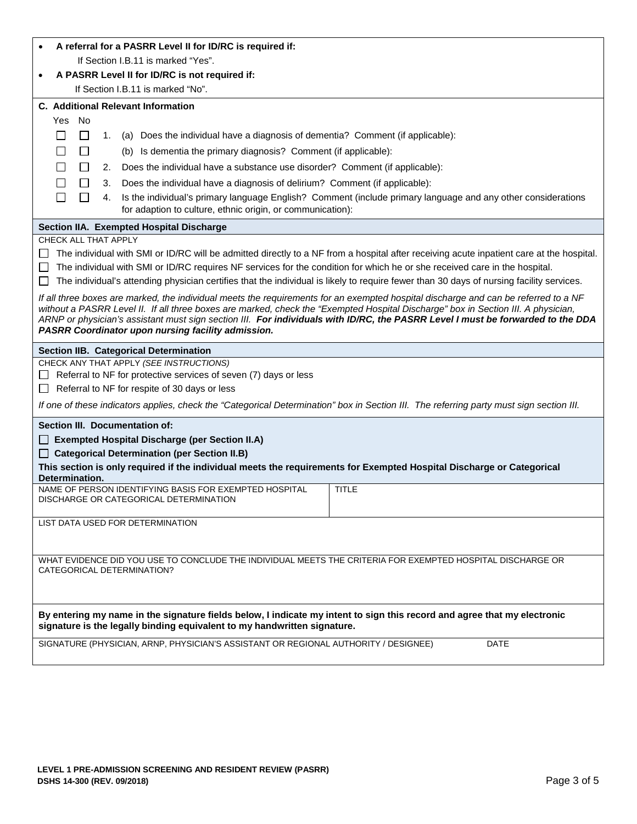| A referral for a PASRR Level II for ID/RC is required if:                                                                                                                                                                                                                                                                                                                                                                                                         |  |  |  |  |  |  |  |
|-------------------------------------------------------------------------------------------------------------------------------------------------------------------------------------------------------------------------------------------------------------------------------------------------------------------------------------------------------------------------------------------------------------------------------------------------------------------|--|--|--|--|--|--|--|
| If Section I.B.11 is marked "Yes".                                                                                                                                                                                                                                                                                                                                                                                                                                |  |  |  |  |  |  |  |
| A PASRR Level II for ID/RC is not required if:<br>$\bullet$                                                                                                                                                                                                                                                                                                                                                                                                       |  |  |  |  |  |  |  |
| If Section I.B.11 is marked "No".                                                                                                                                                                                                                                                                                                                                                                                                                                 |  |  |  |  |  |  |  |
| <b>C.</b> Additional Relevant Information<br>Yes No                                                                                                                                                                                                                                                                                                                                                                                                               |  |  |  |  |  |  |  |
| $\Box$<br>$\Box$<br>(a) Does the individual have a diagnosis of dementia? Comment (if applicable):<br>1.                                                                                                                                                                                                                                                                                                                                                          |  |  |  |  |  |  |  |
| $\Box$<br>П<br>(b) Is dementia the primary diagnosis? Comment (if applicable):                                                                                                                                                                                                                                                                                                                                                                                    |  |  |  |  |  |  |  |
| $\Box$                                                                                                                                                                                                                                                                                                                                                                                                                                                            |  |  |  |  |  |  |  |
| Does the individual have a substance use disorder? Comment (if applicable):<br>2.<br>Does the individual have a diagnosis of delirium? Comment (if applicable):<br>$\Box$<br>3.                                                                                                                                                                                                                                                                                   |  |  |  |  |  |  |  |
| Is the individual's primary language English? Comment (include primary language and any other considerations<br>ΙI<br>4.                                                                                                                                                                                                                                                                                                                                          |  |  |  |  |  |  |  |
| for adaption to culture, ethnic origin, or communication):                                                                                                                                                                                                                                                                                                                                                                                                        |  |  |  |  |  |  |  |
| Section IIA. Exempted Hospital Discharge                                                                                                                                                                                                                                                                                                                                                                                                                          |  |  |  |  |  |  |  |
| CHECK ALL THAT APPLY                                                                                                                                                                                                                                                                                                                                                                                                                                              |  |  |  |  |  |  |  |
| The individual with SMI or ID/RC will be admitted directly to a NF from a hospital after receiving acute inpatient care at the hospital.<br>$\mathbf{L}$<br>The individual with SMI or ID/RC requires NF services for the condition for which he or she received care in the hospital.<br>The individual's attending physician certifies that the individual is likely to require fewer than 30 days of nursing facility services.<br>$\mathbf{L}$                |  |  |  |  |  |  |  |
| If all three boxes are marked, the individual meets the requirements for an exempted hospital discharge and can be referred to a NF<br>without a PASRR Level II. If all three boxes are marked, check the "Exempted Hospital Discharge" box in Section III. A physician,<br>ARNP or physician's assistant must sign section III. For individuals with ID/RC, the PASRR Level I must be forwarded to the DDA<br>PASRR Coordinator upon nursing facility admission. |  |  |  |  |  |  |  |
| Section IIB. Categorical Determination                                                                                                                                                                                                                                                                                                                                                                                                                            |  |  |  |  |  |  |  |
| CHECK ANY THAT APPLY (SEE INSTRUCTIONS)                                                                                                                                                                                                                                                                                                                                                                                                                           |  |  |  |  |  |  |  |
| Referral to NF for protective services of seven (7) days or less<br>Referral to NF for respite of 30 days or less                                                                                                                                                                                                                                                                                                                                                 |  |  |  |  |  |  |  |
| $\perp$<br>If one of these indicators applies, check the "Categorical Determination" box in Section III. The referring party must sign section III.                                                                                                                                                                                                                                                                                                               |  |  |  |  |  |  |  |
| Section III. Documentation of:                                                                                                                                                                                                                                                                                                                                                                                                                                    |  |  |  |  |  |  |  |
| <b>Exempted Hospital Discharge (per Section II.A)</b>                                                                                                                                                                                                                                                                                                                                                                                                             |  |  |  |  |  |  |  |
| <b>Categorical Determination (per Section II.B)</b>                                                                                                                                                                                                                                                                                                                                                                                                               |  |  |  |  |  |  |  |
| This section is only required if the individual meets the requirements for Exempted Hospital Discharge or Categorical<br>Determination.                                                                                                                                                                                                                                                                                                                           |  |  |  |  |  |  |  |
| NAME OF PERSON IDENTIFYING BASIS FOR EXEMPTED HOSPITAL<br>TITLE<br>DISCHARGE OR CATEGORICAL DETERMINATION                                                                                                                                                                                                                                                                                                                                                         |  |  |  |  |  |  |  |
| LIST DATA USED FOR DETERMINATION                                                                                                                                                                                                                                                                                                                                                                                                                                  |  |  |  |  |  |  |  |
|                                                                                                                                                                                                                                                                                                                                                                                                                                                                   |  |  |  |  |  |  |  |
| WHAT EVIDENCE DID YOU USE TO CONCLUDE THE INDIVIDUAL MEETS THE CRITERIA FOR EXEMPTED HOSPITAL DISCHARGE OR<br>CATEGORICAL DETERMINATION?                                                                                                                                                                                                                                                                                                                          |  |  |  |  |  |  |  |
| By entering my name in the signature fields below, I indicate my intent to sign this record and agree that my electronic<br>signature is the legally binding equivalent to my handwritten signature.                                                                                                                                                                                                                                                              |  |  |  |  |  |  |  |
| SIGNATURE (PHYSICIAN, ARNP, PHYSICIAN'S ASSISTANT OR REGIONAL AUTHORITY / DESIGNEE)<br><b>DATE</b>                                                                                                                                                                                                                                                                                                                                                                |  |  |  |  |  |  |  |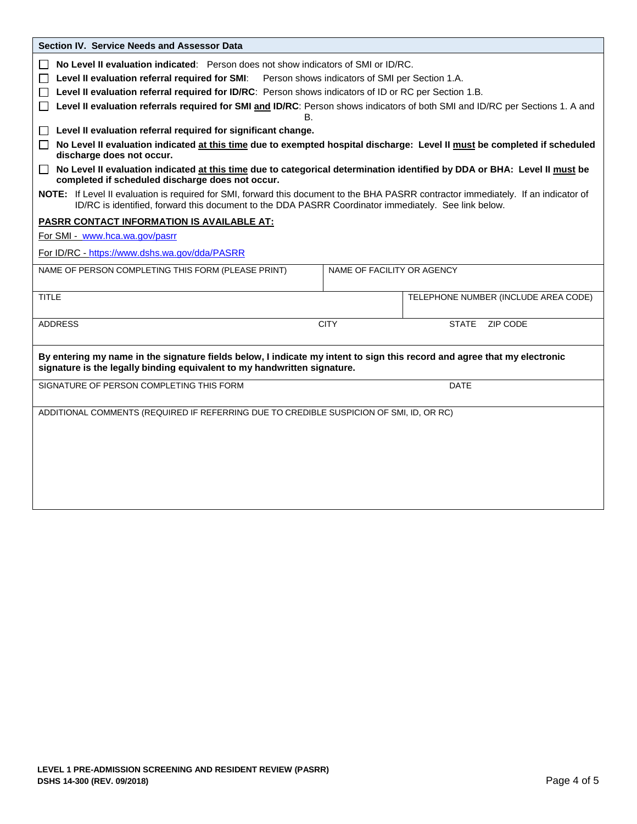| Section IV. Service Needs and Assessor Data                                                                                                                                                                                                 |             |                                      |  |  |  |  |
|---------------------------------------------------------------------------------------------------------------------------------------------------------------------------------------------------------------------------------------------|-------------|--------------------------------------|--|--|--|--|
| No Level II evaluation indicated: Person does not show indicators of SMI or ID/RC.<br>$\perp$<br>Level II evaluation referral required for SMI:<br>Person shows indicators of SMI per Section 1.A.<br>$\mathsf{L}$                          |             |                                      |  |  |  |  |
| Level II evaluation referral required for ID/RC: Person shows indicators of ID or RC per Section 1.B.<br>$\perp$                                                                                                                            |             |                                      |  |  |  |  |
| Level II evaluation referrals required for SMI and ID/RC: Person shows indicators of both SMI and ID/RC per Sections 1. A and                                                                                                               |             |                                      |  |  |  |  |
| В.                                                                                                                                                                                                                                          |             |                                      |  |  |  |  |
| Level II evaluation referral required for significant change.<br>$\perp$<br>No Level II evaluation indicated at this time due to exempted hospital discharge: Level II must be completed if scheduled                                       |             |                                      |  |  |  |  |
| $\mathsf{L}$<br>discharge does not occur.                                                                                                                                                                                                   |             |                                      |  |  |  |  |
| No Level II evaluation indicated at this time due to categorical determination identified by DDA or BHA: Level II must be<br>$\mathsf{L}$<br>completed if scheduled discharge does not occur.                                               |             |                                      |  |  |  |  |
| NOTE: If Level II evaluation is required for SMI, forward this document to the BHA PASRR contractor immediately. If an indicator of<br>ID/RC is identified, forward this document to the DDA PASRR Coordinator immediately. See link below. |             |                                      |  |  |  |  |
| <b>PASRR CONTACT INFORMATION IS AVAILABLE AT:</b>                                                                                                                                                                                           |             |                                      |  |  |  |  |
| For SMI - www.hca.wa.gov/pasrr                                                                                                                                                                                                              |             |                                      |  |  |  |  |
| For ID/RC - https://www.dshs.wa.gov/dda/PASRR                                                                                                                                                                                               |             |                                      |  |  |  |  |
| NAME OF PERSON COMPLETING THIS FORM (PLEASE PRINT)<br>NAME OF FACILITY OR AGENCY                                                                                                                                                            |             |                                      |  |  |  |  |
| <b>TITLE</b>                                                                                                                                                                                                                                |             | TELEPHONE NUMBER (INCLUDE AREA CODE) |  |  |  |  |
| <b>ADDRESS</b>                                                                                                                                                                                                                              | <b>CITY</b> | ZIP CODE<br><b>STATE</b>             |  |  |  |  |
| By entering my name in the signature fields below, I indicate my intent to sign this record and agree that my electronic<br>signature is the legally binding equivalent to my handwritten signature.                                        |             |                                      |  |  |  |  |
| SIGNATURE OF PERSON COMPLETING THIS FORM                                                                                                                                                                                                    | <b>DATE</b> |                                      |  |  |  |  |
| ADDITIONAL COMMENTS (REQUIRED IF REFERRING DUE TO CREDIBLE SUSPICION OF SMI, ID, OR RC)                                                                                                                                                     |             |                                      |  |  |  |  |